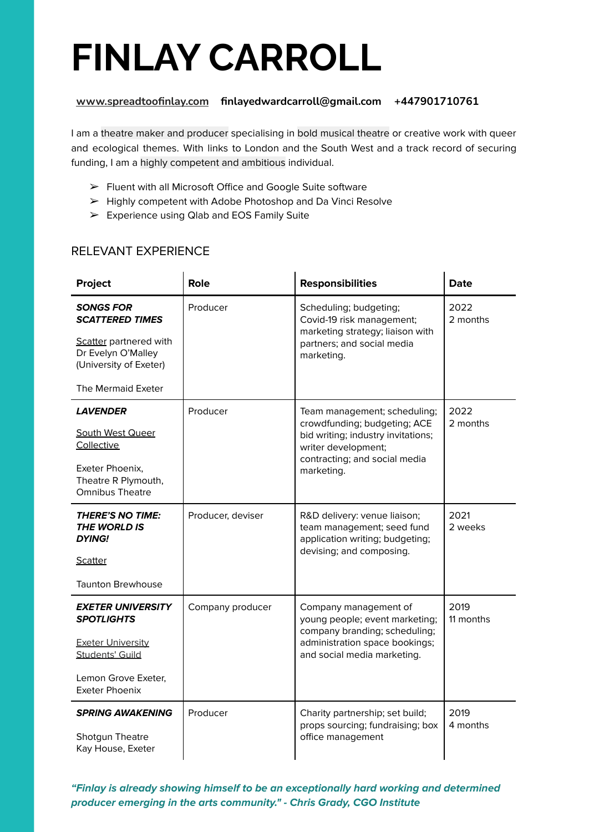# **FINLAY CARROLL**

## **[www.spreadtoofinlay.com](http://www.spreadtoofinlay.com) finlayedwardcarroll@gmail.com +447901710761**

I am a theatre maker and producer specialising in bold musical theatre or creative work with queer and ecological themes. With links to London and the South West and a track record of securing funding, I am a highly competent and ambitious individual.

- ➢ Fluent with all Microsoft Office and Google Suite software
- ➢ Highly competent with Adobe Photoshop and Da Vinci Resolve
- $\triangleright$  Experience using Qlab and EOS Family Suite

# RELEVANT EXPERIENCE

| Project                                                                                                                                             | <b>Role</b>       | <b>Responsibilities</b>                                                                                                                                                  | <b>Date</b>       |
|-----------------------------------------------------------------------------------------------------------------------------------------------------|-------------------|--------------------------------------------------------------------------------------------------------------------------------------------------------------------------|-------------------|
| <b>SONGS FOR</b><br><b>SCATTERED TIMES</b><br>Scatter partnered with<br>Dr Evelyn O'Malley<br>(University of Exeter)                                | Producer          | Scheduling; budgeting;<br>Covid-19 risk management;<br>marketing strategy; liaison with<br>partners; and social media<br>marketing.                                      | 2022<br>2 months  |
| The Mermaid Exeter                                                                                                                                  |                   |                                                                                                                                                                          |                   |
| <i><b>LAVENDER</b></i><br><b>South West Queer</b><br>Collective<br>Exeter Phoenix,<br>Theatre R Plymouth,<br><b>Omnibus Theatre</b>                 | Producer          | Team management; scheduling;<br>crowdfunding; budgeting; ACE<br>bid writing; industry invitations;<br>writer development;<br>contracting; and social media<br>marketing. | 2022<br>2 months  |
| <b>THERE'S NO TIME:</b><br><b>THE WORLD IS</b><br><b>DYING!</b><br><b>Scatter</b>                                                                   | Producer, deviser | R&D delivery: venue liaison;<br>team management; seed fund<br>application writing; budgeting;<br>devising; and composing.                                                | 2021<br>2 weeks   |
| <b>Taunton Brewhouse</b>                                                                                                                            |                   |                                                                                                                                                                          |                   |
| <b>EXETER UNIVERSITY</b><br><b>SPOTLIGHTS</b><br><b>Exeter University</b><br><b>Students' Guild</b><br>Lemon Grove Exeter.<br><b>Exeter Phoenix</b> | Company producer  | Company management of<br>young people; event marketing;<br>company branding; scheduling;<br>administration space bookings;<br>and social media marketing.                | 2019<br>11 months |
| <b>SPRING AWAKENING</b><br>Shotgun Theatre<br>Kay House, Exeter                                                                                     | Producer          | Charity partnership; set build;<br>props sourcing; fundraising; box<br>office management                                                                                 | 2019<br>4 months  |

**"Finlay is already showing himself to be an exceptionally hard working and determined producer emerging in the arts community." - Chris Grady, CGO Institute**